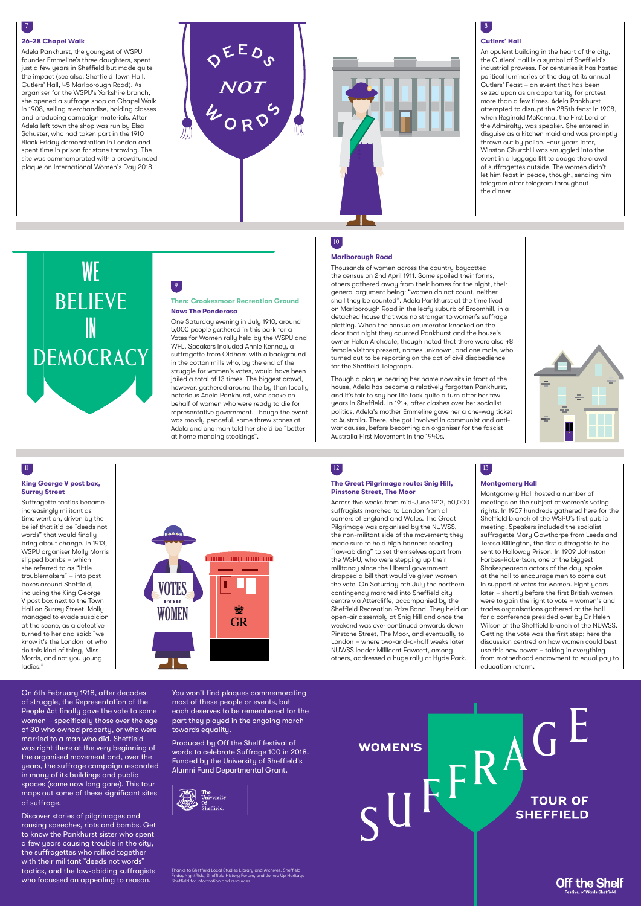

## 8

#### **Cutlers' Hall**

An opulent building in the heart of the city, the Cutlers' Hall is a symbol of Sheffield's industrial prowess. For centuries it has hosted political luminaries of the day at its annual Cutlers' Feast – an event that has been seized upon as an opportunity for protest more than a few times. Adela Pankhurst attempted to disrupt the 285th feast in 1908, when Reginald McKenna, the First Lord of the Admiralty, was speaker. She entered in disguise as a kitchen maid and was promptly thrown out by police. Four years later, thrown out by police. Four years later,<br>| Winston Churchill was smuggled into the Winston Churchill was smuggled into the<br>event in a luggage lift to dodge the crowd of suffragettes outside. The women didn't If the him feast in peace, though, sending him telegram after telegram throughout the dinner.

# 13

### **Montgomery Hall**

Montgomery Hall hosted a number of meetings on the subject of women's voting rights. In 1907 hundreds gathered here for the Sheffield branch of the WSPU's first public meeting. Speakers included the socialist suffragette Mary Gawthorpe from Leeds and Teresa Billington, the first suffragette to be sent to Holloway Prison. In 1909 Johnston Forbes-Robertson, one of the biggest Shakespearean actors of the day, spoke at the hall to encourage men to come out in support of votes for women. Eight years later – shortly before the first British women were to gain the right to vote – women's and trades organisations gathered at the hall for a conference presided over by Dr Helen Wilson of the Sheffield branch of the NUWSS. Getting the vote was the first step; here the discussion centred on how women could best use this new power – taking in everything from motherhood endowment to equal pay to education reform.

7

#### **26-28 Chapel Walk**

Adela Pankhurst, the youngest of WSPU founder Emmeline's three daughters, spent just a few years in Sheffield but made quite the impact (see also: Sheffield Town Hall, Cutlers' Hall, 45 Marlborough Road). As organiser for the WSPU's Yorkshire branch, she opened a suffrage shop on Chapel Walk in 1908, selling merchandise, holding classes and producing campaign materials. After Adela left town the shop was run by Elsa Schuster, who had taken part in the 1910 Black Friday demonstration in London and spent time in prison for stone throwing. The site was commemorated with a crowdfunded plaque on International Women's Day 2018.

# 10

#### **Marlborough Road**

Thousands of women across the country boycotted the census on 2nd April 1911. Some spoiled their forms, others gathered away from their homes for the night, their general argument being: "women do not count, neither shall they be counted". Adela Pankhurst at the time lived on Marlborough Road in the leafy suburb of Broomhill, in a detached house that was no stranger to women's suffrage plotting. When the census enumerator knocked on the door that night they counted Pankhurst and the house's owner Helen Archdale, though noted that there were also 48 female visitors present, names unknown, and one male, who turned out to be reporting on the act of civil disobedience for the Sheffield Telegraph.

Suffragette tactics became increasingly militant as time went on, driven by the belief that it'd be "deeds not words" that would finally bring about change. In 1913, WSPU organiser Molly Morris slipped bombs – which she referred to as "little troublemakers" – into post boxes around Sheffield, including the King George V post box next to the Town Hall on Surrey Street. Molly managed to evade suspicion at the scene, as a detective turned to her and said: "we know it's the London lot who do this kind of thing, Miss Morris, and not you young ladies."

Though a plaque bearing her name now sits in front of the house, Adela has become a relatively forgotten Pankhurst, and it's fair to say her life took quite a turn after her few years in Sheffield. In 1914, after clashes over her socialist politics, Adela's mother Emmeline gave her a one-way ticket to Australia. There, she got involved in communist and antiwar causes, before becoming an organiser for the fascist Australia First Movement in the 1940s.



# **WE** BELIEVE IN DEMOCRACY

On 6th February 1918, after decades of struggle, the Representation of the People Act finally gave the vote to some women – specifically those over the age of 30 who owned property, or who were married to a man who did. Sheffield was right there at the very beginning of the organised movement and, over the years, the suffrage campaign resonated in many of its buildings and public spaces (some now long gone). This tour maps out some of these significant sites of suffrage.

Discover stories of pilgrimages and rousing speeches, riots and bombs. Get to know the Pankhurst sister who spent a few years causing trouble in the city, the suffragettes who rallied together with their militant "deeds not words" tactics, and the law-abiding suffragists who focussed on appealing to reason.

You won't find plaques commemorating most of these people or events, but each deserves to be remembered for the part they played in the ongoing march towards equality.

Produced by Off the Shelf festival of words to celebrate Suffrage 100 in 2018. Funded by the University of Sheffield's Alumni Fund Departmental Grant.

|  | The<br>University<br>Of<br>Sheffield. |
|--|---------------------------------------|
|--|---------------------------------------|

## 12

#### **The Great Pilgrimage route: Snig Hill, Pinstone Street, The Moor**

Across five weeks from mid-June 1913, 50,000 suffragists marched to London from all corners of England and Wales. The Great Pilgrimage was organised by the NUWSS, the non-militant side of the movement; they made sure to hold high banners reading "law-abiding" to set themselves apart from the WSPU, who were stepping up their militancy since the Liberal government dropped a bill that would've given women the vote. On Saturday 5th July the northern contingency marched into Sheffield city centre via Attercliffe, accompanied by the Sheffield Recreation Prize Band. They held an open-air assembly at Snig Hill and once the weekend was over continued onwards down Pinstone Street, The Moor, and eventually to London – where two-and-a-half weeks later NUWSS leader Millicent Fawcett, among others, addressed a huge rally at Hyde Park.

### 11

#### **King George V post box, Surrey Street**

### 9

#### **Then: Crookesmoor Recreation Ground Now: The Ponderosa**

One Saturday evening in July 1910, around 5,000 people gathered in this park for a Votes for Women rally held by the WSPU and WFL. Speakers included Annie Kenney, a suffragette from Oldham with a background in the cotton mills who, by the end of the struggle for women's votes, would have been jailed a total of 13 times. The biggest crowd, however, gathered around the by then locally notorious Adela Pankhurst, who spoke on behalf of women who were ready to die for representative government. Though the event was mostly peaceful, some threw stones at Adela and one man told her she'd be "better at home mending stockings".



Thanks to Sheffield Local Studies Library and Archives, Sheffield FridayNightRide, Sheffield History Forum, and Joined Up Heritage Sheffield for information and resources.